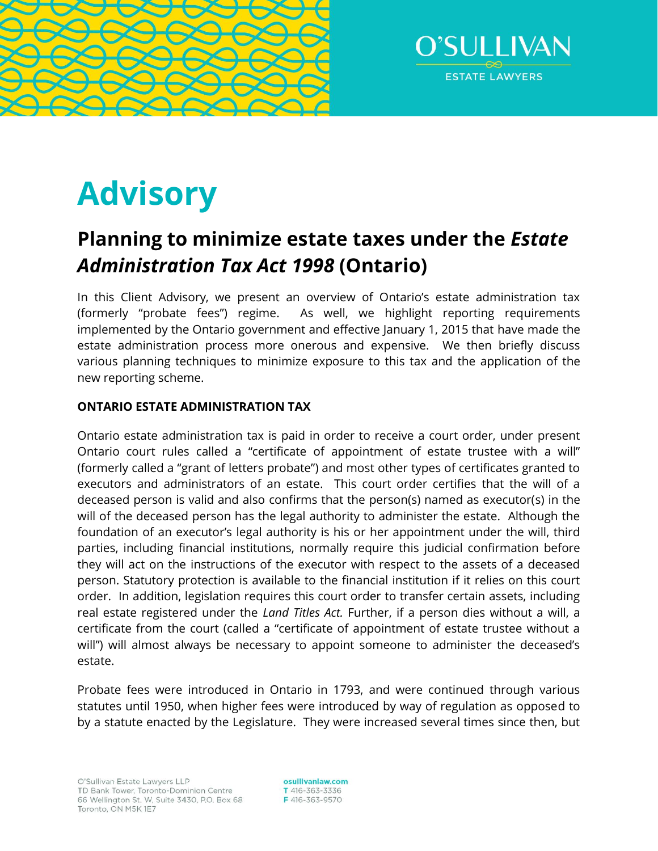



# **Advisory**

# **Planning to minimize estate taxes under the** *Estate Administration Tax Act 1998* **(Ontario)**

In this Client Advisory, we present an overview of Ontario's estate administration tax (formerly "probate fees") regime. As well, we highlight reporting requirements implemented by the Ontario government and effective January 1, 2015 that have made the estate administration process more onerous and expensive. We then briefly discuss various planning techniques to minimize exposure to this tax and the application of the new reporting scheme.

# **ONTARIO ESTATE ADMINISTRATION TAX**

Ontario estate administration tax is paid in order to receive a court order, under present Ontario court rules called a "certificate of appointment of estate trustee with a will" (formerly called a "grant of letters probate") and most other types of certificates granted to executors and administrators of an estate. This court order certifies that the will of a deceased person is valid and also confirms that the person(s) named as executor(s) in the will of the deceased person has the legal authority to administer the estate. Although the foundation of an executor's legal authority is his or her appointment under the will, third parties, including financial institutions, normally require this judicial confirmation before they will act on the instructions of the executor with respect to the assets of a deceased person. Statutory protection is available to the financial institution if it relies on this court order. In addition, legislation requires this court order to transfer certain assets, including real estate registered under the *Land Titles Act.* Further, if a person dies without a will, a certificate from the court (called a "certificate of appointment of estate trustee without a will") will almost always be necessary to appoint someone to administer the deceased's estate.

Probate fees were introduced in Ontario in 1793, and were continued through various statutes until 1950, when higher fees were introduced by way of regulation as opposed to by a statute enacted by the Legislature. They were increased several times since then, but

osullivanlaw.com T 416-363-3336 F416-363-9570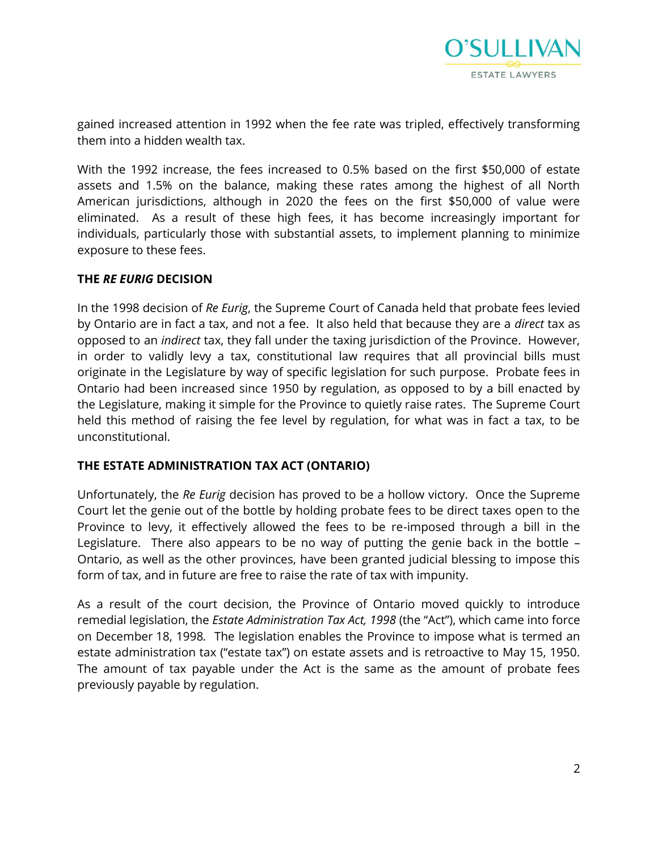

gained increased attention in 1992 when the fee rate was tripled, effectively transforming them into a hidden wealth tax.

With the 1992 increase, the fees increased to 0.5% based on the first \$50,000 of estate assets and 1.5% on the balance, making these rates among the highest of all North American jurisdictions, although in 2020 the fees on the first \$50,000 of value were eliminated. As a result of these high fees, it has become increasingly important for individuals, particularly those with substantial assets, to implement planning to minimize exposure to these fees.

# **THE** *RE EURIG* **DECISION**

In the 1998 decision of *Re Eurig*, the Supreme Court of Canada held that probate fees levied by Ontario are in fact a tax, and not a fee. It also held that because they are a *direct* tax as opposed to an *indirect* tax, they fall under the taxing jurisdiction of the Province. However, in order to validly levy a tax, constitutional law requires that all provincial bills must originate in the Legislature by way of specific legislation for such purpose. Probate fees in Ontario had been increased since 1950 by regulation, as opposed to by a bill enacted by the Legislature, making it simple for the Province to quietly raise rates. The Supreme Court held this method of raising the fee level by regulation, for what was in fact a tax, to be unconstitutional.

# **THE ESTATE ADMINISTRATION TAX ACT (ONTARIO)**

Unfortunately, the *Re Eurig* decision has proved to be a hollow victory. Once the Supreme Court let the genie out of the bottle by holding probate fees to be direct taxes open to the Province to levy, it effectively allowed the fees to be re-imposed through a bill in the Legislature. There also appears to be no way of putting the genie back in the bottle – Ontario, as well as the other provinces, have been granted judicial blessing to impose this form of tax, and in future are free to raise the rate of tax with impunity.

As a result of the court decision, the Province of Ontario moved quickly to introduce remedial legislation, the *Estate Administration Tax Act, 1998* (the "Act"), which came into force on December 18, 1998*.* The legislation enables the Province to impose what is termed an estate administration tax ("estate tax") on estate assets and is retroactive to May 15, 1950. The amount of tax payable under the Act is the same as the amount of probate fees previously payable by regulation.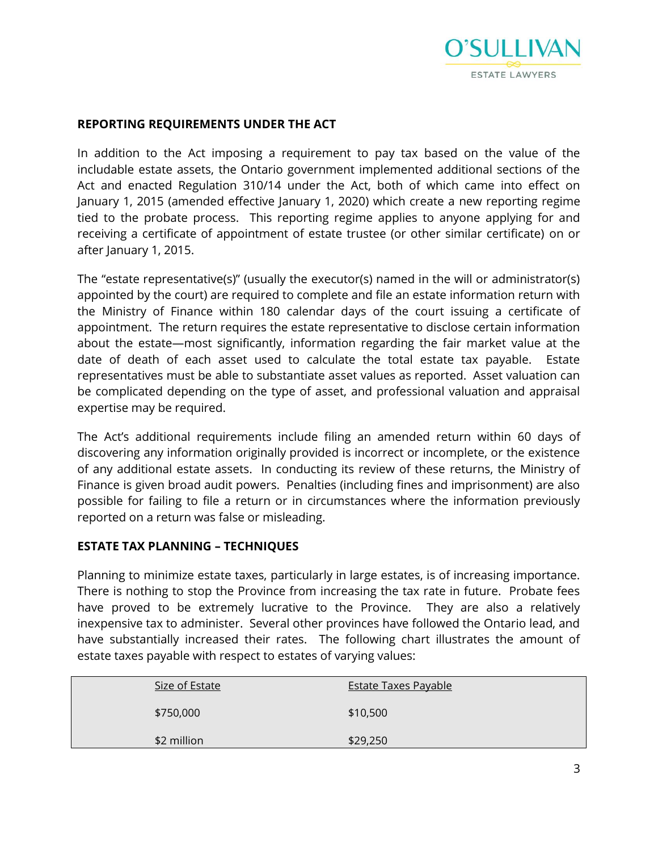

#### **REPORTING REQUIREMENTS UNDER THE ACT**

In addition to the Act imposing a requirement to pay tax based on the value of the includable estate assets, the Ontario government implemented additional sections of the Act and enacted Regulation 310/14 under the Act, both of which came into effect on January 1, 2015 (amended effective January 1, 2020) which create a new reporting regime tied to the probate process. This reporting regime applies to anyone applying for and receiving a certificate of appointment of estate trustee (or other similar certificate) on or after January 1, 2015.

The "estate representative(s)" (usually the executor(s) named in the will or administrator(s) appointed by the court) are required to complete and file an estate information return with the Ministry of Finance within 180 calendar days of the court issuing a certificate of appointment. The return requires the estate representative to disclose certain information about the estate—most significantly, information regarding the fair market value at the date of death of each asset used to calculate the total estate tax payable. Estate representatives must be able to substantiate asset values as reported. Asset valuation can be complicated depending on the type of asset, and professional valuation and appraisal expertise may be required.

The Act's additional requirements include filing an amended return within 60 days of discovering any information originally provided is incorrect or incomplete, or the existence of any additional estate assets. In conducting its review of these returns, the Ministry of Finance is given broad audit powers. Penalties (including fines and imprisonment) are also possible for failing to file a return or in circumstances where the information previously reported on a return was false or misleading.

#### **ESTATE TAX PLANNING – TECHNIQUES**

Planning to minimize estate taxes, particularly in large estates, is of increasing importance. There is nothing to stop the Province from increasing the tax rate in future. Probate fees have proved to be extremely lucrative to the Province. They are also a relatively inexpensive tax to administer. Several other provinces have followed the Ontario lead, and have substantially increased their rates. The following chart illustrates the amount of estate taxes payable with respect to estates of varying values:

| Size of Estate<br><b>Estate Taxes Payable</b> |  |
|-----------------------------------------------|--|
| \$750,000<br>\$10,500                         |  |
| \$2 million<br>\$29,250                       |  |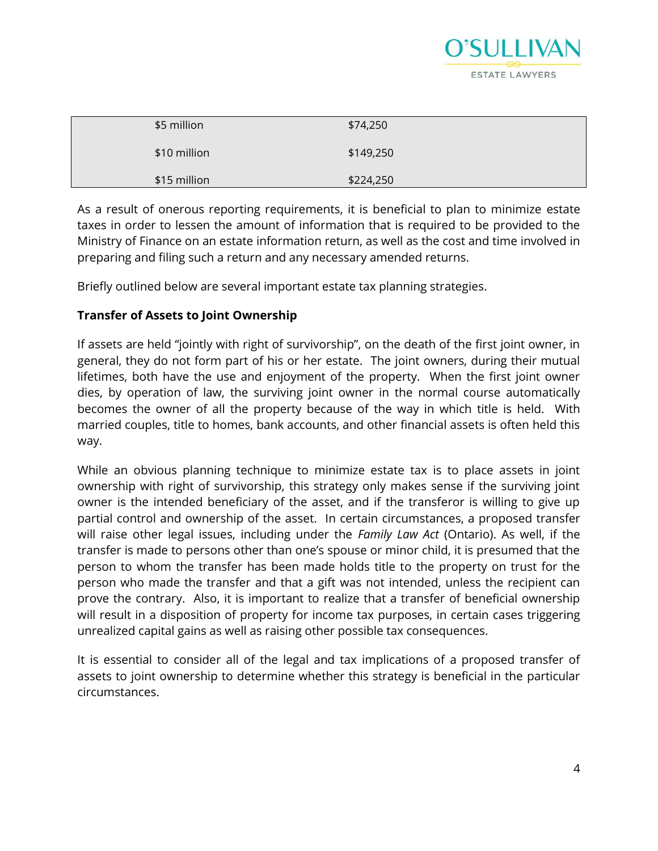

| \$5 million  | \$74,250  |  |
|--------------|-----------|--|
| \$10 million | \$149,250 |  |
| \$15 million | \$224,250 |  |

As a result of onerous reporting requirements, it is beneficial to plan to minimize estate taxes in order to lessen the amount of information that is required to be provided to the Ministry of Finance on an estate information return, as well as the cost and time involved in preparing and filing such a return and any necessary amended returns.

Briefly outlined below are several important estate tax planning strategies.

# **Transfer of Assets to Joint Ownership**

If assets are held "jointly with right of survivorship", on the death of the first joint owner, in general, they do not form part of his or her estate. The joint owners, during their mutual lifetimes, both have the use and enjoyment of the property. When the first joint owner dies, by operation of law, the surviving joint owner in the normal course automatically becomes the owner of all the property because of the way in which title is held. With married couples, title to homes, bank accounts, and other financial assets is often held this way.

While an obvious planning technique to minimize estate tax is to place assets in joint ownership with right of survivorship, this strategy only makes sense if the surviving joint owner is the intended beneficiary of the asset, and if the transferor is willing to give up partial control and ownership of the asset. In certain circumstances, a proposed transfer will raise other legal issues, including under the *Family Law Act* (Ontario). As well, if the transfer is made to persons other than one's spouse or minor child, it is presumed that the person to whom the transfer has been made holds title to the property on trust for the person who made the transfer and that a gift was not intended, unless the recipient can prove the contrary. Also, it is important to realize that a transfer of beneficial ownership will result in a disposition of property for income tax purposes, in certain cases triggering unrealized capital gains as well as raising other possible tax consequences.

It is essential to consider all of the legal and tax implications of a proposed transfer of assets to joint ownership to determine whether this strategy is beneficial in the particular circumstances.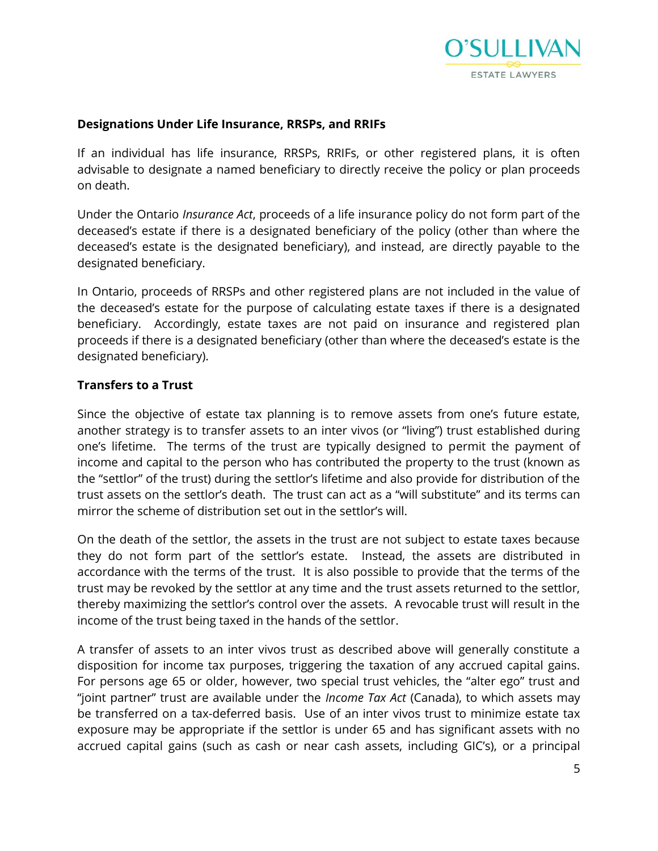

#### **Designations Under Life Insurance, RRSPs, and RRIFs**

If an individual has life insurance, RRSPs, RRIFs, or other registered plans, it is often advisable to designate a named beneficiary to directly receive the policy or plan proceeds on death.

Under the Ontario *Insurance Act*, proceeds of a life insurance policy do not form part of the deceased's estate if there is a designated beneficiary of the policy (other than where the deceased's estate is the designated beneficiary), and instead, are directly payable to the designated beneficiary.

In Ontario, proceeds of RRSPs and other registered plans are not included in the value of the deceased's estate for the purpose of calculating estate taxes if there is a designated beneficiary. Accordingly, estate taxes are not paid on insurance and registered plan proceeds if there is a designated beneficiary (other than where the deceased's estate is the designated beneficiary).

#### **Transfers to a Trust**

Since the objective of estate tax planning is to remove assets from one's future estate, another strategy is to transfer assets to an inter vivos (or "living") trust established during one's lifetime. The terms of the trust are typically designed to permit the payment of income and capital to the person who has contributed the property to the trust (known as the "settlor" of the trust) during the settlor's lifetime and also provide for distribution of the trust assets on the settlor's death. The trust can act as a "will substitute" and its terms can mirror the scheme of distribution set out in the settlor's will.

On the death of the settlor, the assets in the trust are not subject to estate taxes because they do not form part of the settlor's estate. Instead, the assets are distributed in accordance with the terms of the trust. It is also possible to provide that the terms of the trust may be revoked by the settlor at any time and the trust assets returned to the settlor, thereby maximizing the settlor's control over the assets. A revocable trust will result in the income of the trust being taxed in the hands of the settlor.

A transfer of assets to an inter vivos trust as described above will generally constitute a disposition for income tax purposes, triggering the taxation of any accrued capital gains. For persons age 65 or older, however, two special trust vehicles, the "alter ego" trust and "joint partner" trust are available under the *Income Tax Act* (Canada), to which assets may be transferred on a tax-deferred basis. Use of an inter vivos trust to minimize estate tax exposure may be appropriate if the settlor is under 65 and has significant assets with no accrued capital gains (such as cash or near cash assets, including GIC's), or a principal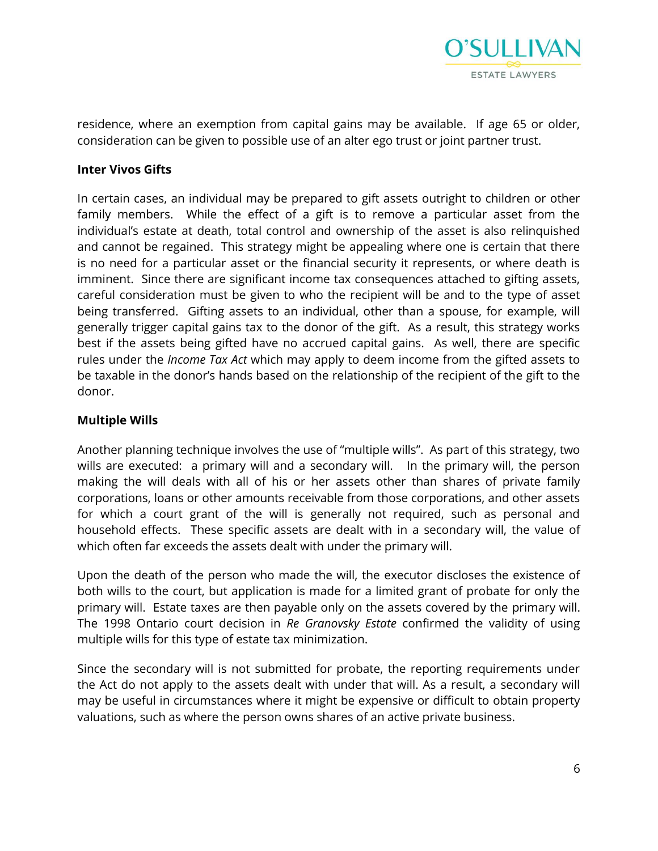

residence, where an exemption from capital gains may be available. If age 65 or older, consideration can be given to possible use of an alter ego trust or joint partner trust.

#### **Inter Vivos Gifts**

In certain cases, an individual may be prepared to gift assets outright to children or other family members. While the effect of a gift is to remove a particular asset from the individual's estate at death, total control and ownership of the asset is also relinquished and cannot be regained. This strategy might be appealing where one is certain that there is no need for a particular asset or the financial security it represents, or where death is imminent. Since there are significant income tax consequences attached to gifting assets, careful consideration must be given to who the recipient will be and to the type of asset being transferred. Gifting assets to an individual, other than a spouse, for example, will generally trigger capital gains tax to the donor of the gift. As a result, this strategy works best if the assets being gifted have no accrued capital gains. As well, there are specific rules under the *Income Tax Act* which may apply to deem income from the gifted assets to be taxable in the donor's hands based on the relationship of the recipient of the gift to the donor.

# **Multiple Wills**

Another planning technique involves the use of "multiple wills". As part of this strategy, two wills are executed: a primary will and a secondary will. In the primary will, the person making the will deals with all of his or her assets other than shares of private family corporations, loans or other amounts receivable from those corporations, and other assets for which a court grant of the will is generally not required, such as personal and household effects. These specific assets are dealt with in a secondary will, the value of which often far exceeds the assets dealt with under the primary will.

Upon the death of the person who made the will, the executor discloses the existence of both wills to the court, but application is made for a limited grant of probate for only the primary will. Estate taxes are then payable only on the assets covered by the primary will. The 1998 Ontario court decision in *Re Granovsky Estate* confirmed the validity of using multiple wills for this type of estate tax minimization.

Since the secondary will is not submitted for probate, the reporting requirements under the Act do not apply to the assets dealt with under that will. As a result, a secondary will may be useful in circumstances where it might be expensive or difficult to obtain property valuations, such as where the person owns shares of an active private business.